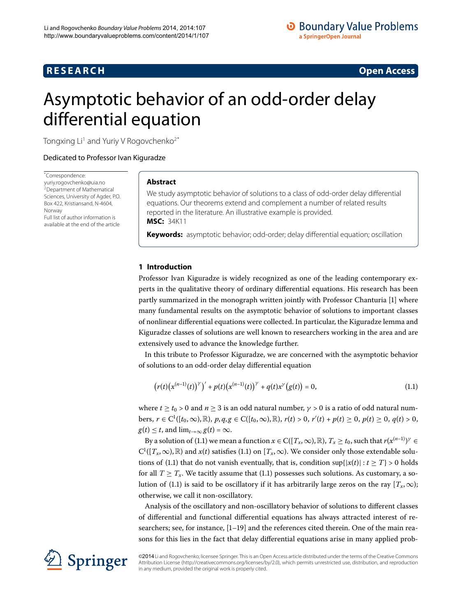# **R E S E A R C H Open Access**

# <span id="page-0-0"></span>Asymptotic behavior of an odd-order delay differential equation

Tongxing Li<sup>1</sup> and Yuriy V Rogovchenko<sup>[2](#page-9-1)[\\*](#page-0-0)</sup>

Dedicated to Professor Ivan Kiguradze

\* Correspondence: [yuriy.rogovchenko@uia.no](mailto:yuriy.rogovchenko@uia.no) 2Department of Mathematical Sciences, University of Agder, P.O. Box 422, Kristiansand, N-4604, Norway Full list of author information is available at the end of the article

# **Abstract**

We study asymptotic behavior of solutions to a class of odd-order delay differential equations. Our theorems extend and complement a number of related results reported in the literature. An illustrative example is provided. **MSC:** 34K11

**Keywords:** asymptotic behavior; odd-order; delay differential equation; oscillation

# **1 Introduction**

Professor Ivan Kiguradze is widely recognized as one of the leading contemporary experts in the qualitative theory of ordinary differential equations. His research has been partly summarized in the monograph written jointly with Professor Chanturia [\[](#page-9-2)1] where many fundamental results on the asymptotic behavior of solutions to important classes of nonlinear differential equations were collected. In particular, the Kiguradze lemma and Kiguradze classes of solutions are well known to researchers working in the area and are extensively used to advance the knowledge further.

In this tribute to Professor Kiguradze, we are concerned with the asymptotic behavior of solutions to an odd-order delay differential equation

<span id="page-0-1"></span>
$$
(r(t)(x^{(n-1)}(t))^{y})' + p(t)(x^{(n-1)}(t))^{y} + q(t)x^{y}(g(t)) = 0,
$$
\n(1.1)

where  $t > t_0 > 0$  and  $n > 3$  is an odd natural number,  $\gamma > 0$  is a ratio of odd natural num $b$ ers, *r* ∈ C<sup>1</sup>([*t*<sub>0</sub>,∞),ℝ), *p*,*q*,*g* ∈ C([*t*<sub>0</sub>,∞),ℝ), *r*(*t*) > 0, *r'*(*t*) + *p*(*t*) ≥ 0, *p*(*t*) > 0,  $g(t) \leq t$ , and  $\lim_{t \to \infty} g(t) = \infty$ .

By a solution of (1[.](#page-0-1)1) we mean a function  $x \in C([T_x,\infty),\mathbb{R})$ ,  $T_x \ge t_0$ , such that  $r(x^{(n-1)})^{\gamma} \in$  $C^1([T_x,\infty),\mathbb{R})$  and  $x(t)$  satisfies (1[.](#page-0-1)1) on  $[T_x,\infty)$ . We consider only those extendable solu-tions of (1[.](#page-0-1)1) that do not vanish eventually, that is, condition  $\sup\{|x(t)| : t \geq T\} > 0$  holds for all  $T \geq T_x$ [.](#page-0-1) We tacitly assume that (1.1) possesses such solutions. As customary, a so-lution of (1[.](#page-0-1)1) is said to be oscillatory if it has arbitrarily large zeros on the ray  $[T_x, \infty)$ ; otherwise, we call it non-oscillatory.

Analysis of the oscillatory and non-oscillatory behavior of solutions to different classes of differential and functional differential equations has always attracted interest of researchers; see, for instance,  $[1-19]$  $[1-19]$  and the references cited therein. One of the main reasons for this lies in the fact that delay differential equations arise in many applied prob-



©2014Li and Rogovchenko; licensee Springer. This is an Open Access article distributed under the terms of the Creative Commons Attribution License [\(http://creativecommons.org/licenses/by/2.0](http://creativecommons.org/licenses/by/2.0)), which permits unrestricted use, distribution, and reproduction in any medium, provided the original work is properly cited.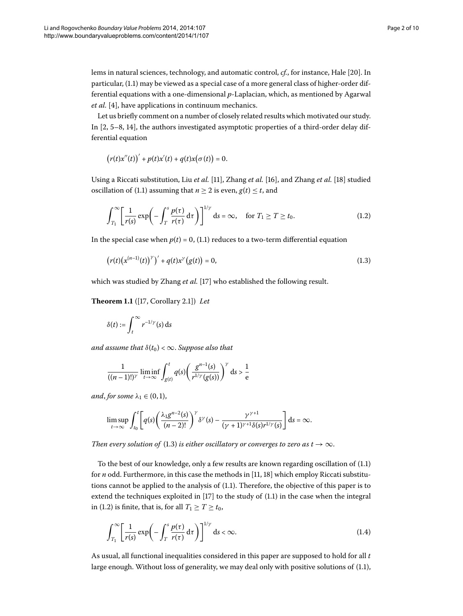lems in natural sciences, technology, and automatic control, *cf.*, for instance, Hale [20[\]](#page-9-4). In particular, (1.1) may be viewed as a special case of a more general class of higher-order differential equations with a one-dimensional *p*-Laplacian, which, as mentioned by Agarwal *et al.* [4], have applications in continuum mechanics.

Let us briefly comment on a number of closely related results which motivated our study. In  $[2, 5-8, 14]$  $[2, 5-8, 14]$  $[2, 5-8, 14]$  $[2, 5-8, 14]$  $[2, 5-8, 14]$ , the authors investigated asymptotic properties of a third-order delay differential equation

<span id="page-1-1"></span> $(r(t)x''(t))' + p(t)x'(t) + q(t)x(\sigma(t)) = 0.$ 

Using a Riccati substitution, Liu *et al.* [11[\]](#page-9-12), Zhang *et al.* [16], and Zhang *et al.* [18] studied oscillation of (1.1) assuming that  $n \geq 2$  is even,  $g(t) \leq t$ , and

<span id="page-1-3"></span><span id="page-1-0"></span>
$$
\int_{T_1}^{\infty} \left[ \frac{1}{r(s)} \exp\left( - \int_T^s \frac{p(\tau)}{r(\tau)} d\tau \right) \right]^{1/\gamma} ds = \infty, \quad \text{for } T_1 \ge T \ge t_0.
$$
 (1.2)

In the special case when  $p(t) = 0$ , (1.1) reduces to a two-term differential equation

$$
(r(t)(x^{(n-1)}(t))^{y})' + q(t)x^{y}(g(t)) = 0,
$$
\n(1.3)

which was studied by Zhang *et al.* [17] who established the following result.

**Theorem 1.1** ([17[,](#page-9-13) Corollary 2.1]) *Let* 

$$
\delta(t):=\int_t^\infty r^{-1/\gamma}(s)\,\mathrm{d} s
$$

*and assume that*  $\delta(t_0) < \infty$ . *Suppose also that* 

$$
\frac{1}{((n-1)!)^{\gamma}} \liminf_{t \to \infty} \int_{g(t)}^{t} q(s) \left( \frac{g^{n-1}(s)}{r^{1/\gamma}(g(s))} \right)^{\gamma} ds > \frac{1}{e}
$$

*and*, *for some*  $\lambda_1 \in (0, 1)$ ,

<span id="page-1-2"></span>
$$
\limsup_{t\to\infty}\int_{t_0}^t \left[q(s)\left(\frac{\lambda_1 g^{n-2}(s)}{(n-2)!}\right)^\gamma \delta^\gamma(s)-\frac{\gamma^{\gamma+1}}{(\gamma+1)^{\gamma+1}\delta(s) r^{1/\gamma}(s)}\right]ds=\infty.
$$

*Then every solution of* (1.3) *is either oscillatory or converges to zero as*  $t \to \infty$ *.* 

To the best of our knowledge, only a few results are known regarding oscillation of  $(1.1)$  $(1.1)$  $(1.1)$ for *n* odd. Furthermore[,](#page-9-10) in this case the methods in [11, 18[\]](#page-9-12) which employ Riccati substitutions cannot be applied to the analysis of  $(1.1)$ . Therefore, the objective of this paper is to extend the techniques exploited in  $[17]$  $[17]$  to the study of  $(1.1)$  $(1.1)$  $(1.1)$  in the case when the integral in (1.2) is finite, that is, for all  $T_1 \ge T \ge t_0$ ,

$$
\int_{T_1}^{\infty} \left[ \frac{1}{r(s)} \exp\left( - \int_{T}^{s} \frac{p(\tau)}{r(\tau)} d\tau \right) \right]^{1/\gamma} ds < \infty.
$$
 (1.4)

As usual, all functional inequalities considered in this paper are supposed to hold for all *t* large enough. Without loss of generality, we may deal only with positive solutions of (1.1),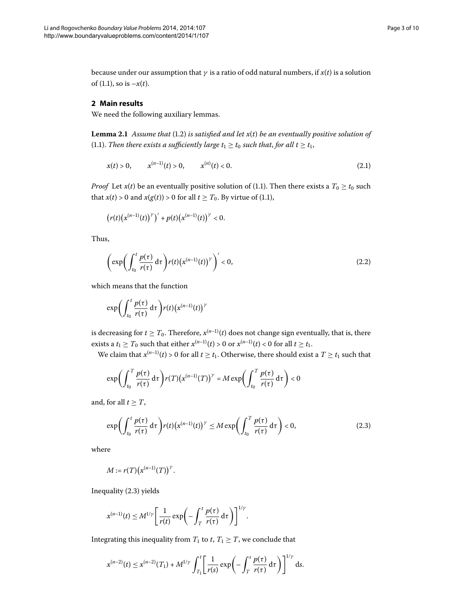<span id="page-2-2"></span>because under our assumption that *γ* is a ratio of odd natural numbers, if *x*(*t*) is a solution of  $(1.1)$ , so is  $-x(t)$ .

## **2 Main results**

We need the following auxiliary lemmas.

**Lemma 2.1** Assume that (1.2) is satisfied and let  $x(t)$  be an eventually positive solution of (1[.](#page-0-1)1). *Then there exists a sufficiently large*  $t_1 \ge t_0$  *such that, for all*  $t \ge t_1$ *,* 

<span id="page-2-3"></span>
$$
x(t) > 0, \qquad x^{(n-1)}(t) > 0, \qquad x^{(n)}(t) < 0. \tag{2.1}
$$

*Proof* Let *x*(*t*) be an eventually positive solution of (1.1). Then there exists a  $T_0 \ge t_0$  such that  $x(t) > 0$  and  $x(g(t)) > 0$  for all  $t \geq T_0$ [.](#page-0-1) By virtue of (1.1),

<span id="page-2-1"></span>
$$
\big(r(t)\big(x^{(n-1)}(t)\big)^{\gamma}\big)' + p(t)\big(x^{(n-1)}(t)\big)^{\gamma} < 0.
$$

Thus,

$$
\left(\exp\left(\int_{t_0}^t \frac{p(\tau)}{r(\tau)} d\tau\right) r(t) \left(x^{(n-1)}(t)\right)^{\gamma}\right)' < 0,
$$
\n(2.2)

which means that the function

$$
\exp\biggl(\int_{t_0}^t\frac{p(\tau)}{r(\tau)}\,\mathrm{d}\tau\biggr)r(t)\bigl(x^{(n-1)}(t)\bigr)^{\gamma}
$$

is decreasing for  $t \geq T_0$ . Therefore,  $x^{(n-1)}(t)$  does not change sign eventually, that is, there exists a *t*<sub>1</sub>  $\geq T_0$  such that either  $x^{(n-1)}(t) > 0$  or  $x^{(n-1)}(t) < 0$  for all  $t \geq t_1$ .

We claim that  $x^{(n-1)}(t) > 0$  for all  $t \ge t_1$ . Otherwise, there should exist a  $T \ge t_1$  such that

<span id="page-2-0"></span>
$$
\exp\biggl(\int_{t_0}^T \frac{p(\tau)}{r(\tau)} d\tau\biggr) r(T) \bigl(x^{(n-1)}(T)\bigr)^{\gamma} = M \exp\biggl(\int_{t_0}^T \frac{p(\tau)}{r(\tau)} d\tau\biggr) < 0
$$

and, for all  $t \geq T$ ,

$$
\exp\biggl(\int_{t_0}^t \frac{p(\tau)}{r(\tau)} d\tau\biggr) r(t) \bigl(x^{(n-1)}(t)\bigr)^{\gamma} \leq M \exp\biggl(\int_{t_0}^T \frac{p(\tau)}{r(\tau)} d\tau\biggr) < 0,
$$
\n(2.3)

where

$$
M:=r(T)\big(x^{(n-1)}(T)\big)^{\gamma}.
$$

Inequality (2.3) yields

$$
x^{(n-1)}(t) \leq M^{1/\gamma} \left[ \frac{1}{r(t)} \exp\left(-\int_T^t \frac{p(\tau)}{r(\tau)} d\tau\right) \right]^{1/\gamma}.
$$

Integrating this inequality from  $T_1$  to  $t$ ,  $T_1 \geq T$ , we conclude that

$$
x^{(n-2)}(t) \leq x^{(n-2)}(T_1) + M^{1/\gamma} \int_{T_1}^t \left[ \frac{1}{r(s)} \exp\left(-\int_T^s \frac{p(\tau)}{r(\tau)} d\tau\right) \right]^{1/\gamma} ds.
$$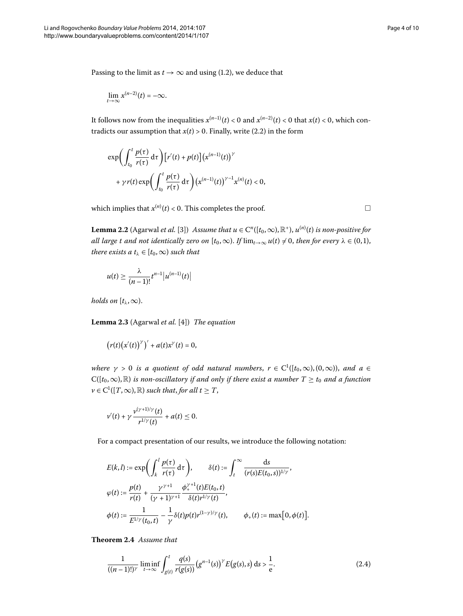Passing to the limit as  $t \to \infty$  and using (1[.](#page-1-1)2), we deduce that

$$
\lim_{t\to\infty}x^{(n-2)}(t)=-\infty.
$$

It follows now from the inequalities  $x^{(n-1)}(t) < 0$  and  $x^{(n-2)}(t) < 0$  that  $x(t) < 0$ , which contradicts our assumption that  $x(t) > 0$ [.](#page-2-1) Finally, write (2.2) in the form

<span id="page-3-0"></span>
$$
\exp\biggl(\int_{t_0}^t \frac{p(\tau)}{r(\tau)} d\tau\biggr) \bigl[r'(t) + p(t)\bigr] \bigl(x^{(n-1)}(t)\bigr)^\gamma
$$
  
+  $\gamma r(t) \exp\biggl(\int_{t_0}^t \frac{p(\tau)}{r(\tau)} d\tau\biggr) \bigl(x^{(n-1)}(t)\bigr)^{\gamma-1} x^{(n)}(t) < 0,$ 

which implies that  $x^{(n)}(t) < 0$ . This completes the proof.  $\Box$ 

**Lemma 2.2** (Agarwal *et al.* [\[](#page-9-14)3]) *Assume that*  $u \in C^n([t_0, \infty), \mathbb{R}^*)$ *,*  $u^{(n)}(t)$  *is non-positive for all large t and not identically zero on*  $[t_0, \infty)$ . *If*  $\lim_{t\to\infty} u(t) \neq 0$ , then for every  $\lambda \in (0,1)$ , *there exists a*  $t_\lambda \in [t_0, \infty)$  *such that* 

<span id="page-3-3"></span>
$$
u(t)\geq \frac{\lambda}{(n-1)!}t^{n-1}\big|u^{(n-1)}(t)\big|
$$

*holds on*  $[t_{\lambda}, \infty)$ .

Lemma 2.3 (Agarwal *et al.* [4]) *The equation* 

$$
(r(t)(x'(t))^{\gamma})' + a(t)x^{\gamma}(t) = 0,
$$

*where*  $\gamma > 0$  *is a quotient of odd natural numbers,*  $r \in C^1([t_0, \infty), (0, \infty))$ *, and a* ∈  $C([t_0,\infty),\mathbb{R})$  *is non-oscillatory if and only if there exist a number*  $T \geq t_0$  *and a function*  $\nu \in C^1([T, \infty), \mathbb{R})$  *such that, for all t*  $\geq T$ *,* 

$$
v'(t) + \gamma \frac{v^{(\gamma+1)/\gamma}(t)}{r^{1/\gamma}(t)} + a(t) \leq 0.
$$

For a compact presentation of our results, we introduce the following notation:

<span id="page-3-2"></span><span id="page-3-1"></span>
$$
E(k, l) := \exp\left(\int_{k}^{l} \frac{p(\tau)}{r(\tau)} d\tau\right), \qquad \delta(t) := \int_{t}^{\infty} \frac{ds}{(r(s)E(t_0, s))^{1/\gamma}},
$$
  

$$
\varphi(t) := \frac{p(t)}{r(t)} + \frac{\gamma^{\gamma+1}}{(\gamma+1)^{\gamma+1}} \frac{\phi_{+}^{\gamma+1}(t)E(t_0, t)}{\delta(t)r^{1/\gamma}(t)},
$$
  

$$
\phi(t) := \frac{1}{E^{1/\gamma}(t_0, t)} - \frac{1}{\gamma} \delta(t)p(t)r^{(1-\gamma)/\gamma}(t), \qquad \phi_{+}(t) := \max[0, \phi(t)].
$$

**Theorem 2.4** Assume that

$$
\frac{1}{((n-1)!)^{\gamma}} \liminf_{t \to \infty} \int_{g(t)}^{t} \frac{q(s)}{r(g(s))} (g^{n-1}(s))^{\gamma} E(g(s), s) ds > \frac{1}{e}.
$$
 (2.4)

 $\Box$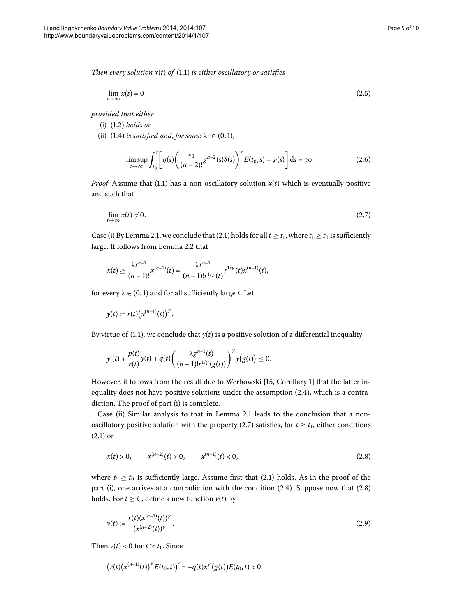*Then every solution*  $x(t)$  *of* (1[.](#page-0-1)1) *is either oscillatory or satisfies* 

<span id="page-4-4"></span>
$$
\lim_{t \to \infty} x(t) = 0 \tag{2.5}
$$

*provided that either*

- $(i)$   $(1.2)$  *holds or*
- (ii) (1.4) *is satisfied and, for some*  $\lambda_1 \in (0,1)$ ,

<span id="page-4-3"></span><span id="page-4-0"></span>
$$
\limsup_{t \to \infty} \int_{t_0}^t \left[ q(s) \left( \frac{\lambda_1}{(n-2)!} g^{n-2}(s) \delta(s) \right)^{\gamma} E(t_0, s) - \varphi(s) \right] ds = \infty.
$$
 (2.6)

*Proof* Assume that (1.1) has a non-oscillatory solution  $x(t)$  which is eventually positive and such that

$$
\lim_{t \to \infty} x(t) \neq 0. \tag{2.7}
$$

Case (i) By Lemma 2[.](#page-2-2)1, we conclude that (2.1) holds for all  $t \ge t_1$ , where  $t_1 \ge t_0$  is sufficiently large[.](#page-3-0) It follows from Lemma 2.2 that

$$
x(t) \geq \frac{\lambda t^{n-1}}{(n-1)!} x^{(n-1)}(t) = \frac{\lambda t^{n-1}}{(n-1)! r^{1/\gamma}(t)} r^{1/\gamma}(t) x^{(n-1)}(t),
$$

for every  $\lambda \in (0, 1)$  and for all sufficiently large *t*. Let

$$
y(t) := r(t) \big(x^{(n-1)}(t)\big)^{\gamma}.
$$

By virtue of (1[.](#page-0-1)1), we conclude that  $y(t)$  is a positive solution of a differential inequality

<span id="page-4-1"></span>
$$
y'(t) + \frac{p(t)}{r(t)}y(t) + q(t)\left(\frac{\lambda g^{n-1}(t)}{(n-1)!r^{1/\gamma}(g(t))}\right)^{\gamma}y(g(t)) \leq 0.
$$

However, it follows from the result due to Werbowski [\[](#page-9-15)15, Corollary 1] that the latter inequality does not have positive solutions under the assumption  $(2.4)$  $(2.4)$  $(2.4)$ , which is a contradiction. The proof of part (i) is complete.

Case (ii) Similar analysis to that in Lemma 2[.](#page-2-2)1 leads to the conclusion that a nonoscillatory positive solution with the property (2.7) satisfies, for  $t \geq t_1$ , either conditions  $(2.1)$  $(2.1)$  $(2.1)$  or

<span id="page-4-2"></span>
$$
x(t) > 0, \qquad x^{(n-2)}(t) > 0, \qquad x^{(n-1)}(t) < 0,\tag{2.8}
$$

where  $t_1 \geq t_0$  is sufficiently large. Assume first that (2.1) holds. As in the proof of the part (i), one arrives at a contradiction with the condition  $(2.4)$  $(2.4)$  $(2.4)$ . Suppose now that  $(2.8)$ holds. For  $t \geq t_1$ , define a new function  $v(t)$  by

$$
v(t) := \frac{r(t)(x^{(n-1)}(t))^{\gamma}}{(x^{(n-2)}(t))^{\gamma}}.
$$
\n(2.9)

Then  $v(t) < 0$  for  $t \ge t_1$ . Since

$$
(r(t)(x^{(n-1)}(t))^{y} E(t_0,t))' = -q(t)x^{y'}(g(t))E(t_0,t) < 0,
$$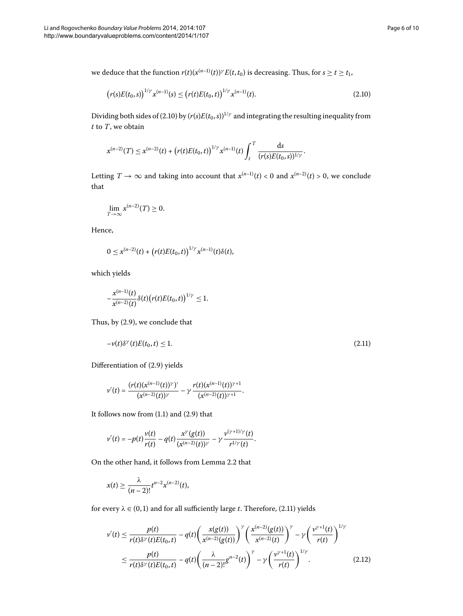we deduce that the function  $r(t)(x^{(n-1)}(t))^{\gamma} E(t, t_0)$  is decreasing. Thus, for  $s \ge t \ge t_1$ ,

<span id="page-5-0"></span>
$$
(r(s)E(t_0,s))^{1/\gamma} x^{(n-1)}(s) \le (r(t)E(t_0,t))^{1/\gamma} x^{(n-1)}(t).
$$
\n(2.10)

Dividing both sides of (2[.](#page-5-0)10) by  $(r(s)E(t_0, s))^{1/\gamma}$  and integrating the resulting inequality from *t* to *T*, we obtain

$$
x^{(n-2)}(T) \leq x^{(n-2)}(t) + (r(t)E(t_0,t))^{1/\gamma} x^{(n-1)}(t) \int_t^T \frac{ds}{(r(s)E(t_0,s))^{1/\gamma}}.
$$

Letting  $T \to \infty$  and taking into account that  $x^{(n-1)}(t) < 0$  and  $x^{(n-2)}(t) > 0$ , we conclude that

$$
\lim_{T\to\infty}x^{(n-2)}(T)\geq 0.
$$

Hence,

$$
0 \leq x^{(n-2)}(t) + (r(t)E(t_0,t))^{1/\gamma} x^{(n-1)}(t) \delta(t),
$$

which yields

<span id="page-5-1"></span>
$$
-\frac{x^{(n-1)}(t)}{x^{(n-2)}(t)}\delta(t)\big(r(t)E(t_0,t)\big)^{1/\gamma}\leq 1.
$$

Thus, by  $(2.9)$ , we conclude that

$$
-\nu(t)\delta^{\gamma}(t)E(t_0,t) \le 1. \tag{2.11}
$$

Differentiation of (2.9) yields

$$
v'(t) = \frac{(r(t)(x^{(n-1)}(t))^{\gamma})'}{(x^{(n-2)}(t))^{\gamma}} - \gamma \frac{r(t)(x^{(n-1)}(t))^{\gamma+1}}{(x^{(n-2)}(t))^{\gamma+1}}.
$$

It follows now from  $(1.1)$  $(1.1)$  $(1.1)$  and  $(2.9)$  that

$$
v'(t) = -p(t)\frac{v(t)}{r(t)} - q(t)\frac{x^{\gamma}(g(t))}{(x^{(n-2)}(t))^{\gamma}} - \gamma \frac{v^{(\gamma+1)/\gamma}(t)}{r^{1/\gamma}(t)}.
$$

On the other hand, it follows from Lemma 2[.](#page-3-0)2 that

<span id="page-5-2"></span>
$$
x(t)\geq \frac{\lambda}{(n-2)!}t^{n-2}x^{(n-2)}(t),
$$

for every  $\lambda \in (0, 1)$  and for all sufficiently large *t*[.](#page-5-1) Therefore, (2.11) yields

$$
\nu'(t) \leq \frac{p(t)}{r(t)\delta^{\gamma}(t)E(t_0,t)} - q(t)\bigg(\frac{x(g(t))}{x^{(n-2)}(g(t))}\bigg)^{\gamma}\bigg(\frac{x^{(n-2)}(g(t))}{x^{(n-2)}(t)}\bigg)^{\gamma} - \gamma\bigg(\frac{\nu^{\gamma+1}(t)}{r(t)}\bigg)^{1/\gamma}
$$
  

$$
\leq \frac{p(t)}{r(t)\delta^{\gamma}(t)E(t_0,t)} - q(t)\bigg(\frac{\lambda}{(n-2)!}g^{n-2}(t)\bigg)^{\gamma} - \gamma\bigg(\frac{\nu^{\gamma+1}(t)}{r(t)}\bigg)^{1/\gamma}.
$$
 (2.12)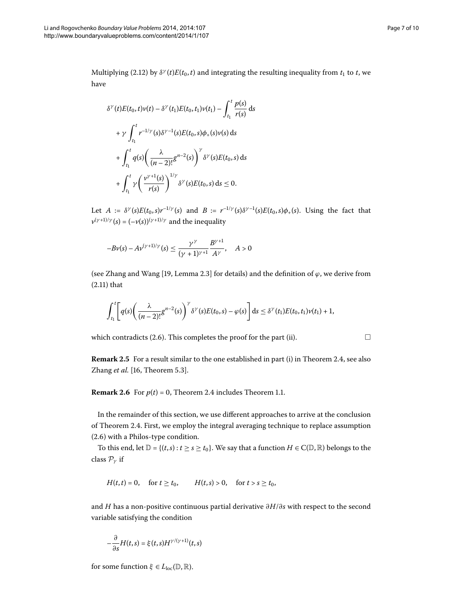Multiplying (2[.](#page-5-2)12) by  $\delta^{\gamma}(t)E(t_0,t)$  and integrating the resulting inequality from  $t_1$  to  $t$ , we have

$$
\delta^{\gamma}(t)E(t_0, t)\nu(t) - \delta^{\gamma}(t_1)E(t_0, t_1)\nu(t_1) - \int_{t_1}^{t} \frac{p(s)}{r(s)} ds
$$
  
+  $\gamma \int_{t_1}^{t} r^{-1/\gamma}(s)\delta^{\gamma-1}(s)E(t_0, s)\phi_+(s)\nu(s) ds$   
+  $\int_{t_1}^{t} q(s) \left(\frac{\lambda}{(n-2)!}g^{n-2}(s)\right)^{\gamma} \delta^{\gamma}(s)E(t_0, s) ds$   
+  $\int_{t_1}^{t} \gamma \left(\frac{\nu^{\gamma+1}(s)}{r(s)}\right)^{1/\gamma} \delta^{\gamma}(s)E(t_0, s) ds \le 0.$ 

Let  $A := \delta^{\gamma}(s)E(t_0, s)r^{-1/\gamma}(s)$  and  $B := r^{-1/\gamma}(s)\delta^{\gamma-1}(s)E(t_0, s)\phi_+(s)$ . Using the fact that  $v^{(\gamma+1)/\gamma}(s) = (-v(s))^{(\gamma+1)/\gamma}$  and the inequality

$$
-B\nu(s) - A\nu^{(\gamma+1)/\gamma}(s) \le \frac{\gamma^{\gamma}}{(\gamma+1)^{\gamma+1}} \frac{B^{\gamma+1}}{A^{\gamma}}, \quad A > 0
$$

(see Zhang and Wang [19, Lemma 2.3] for details) and the definition of  $\varphi$ , we derive from  $(2.11)$  $(2.11)$  $(2.11)$  that

$$
\int_{t_1}^t \left[ q(s) \left( \frac{\lambda}{(n-2)!} g^{n-2}(s) \right)^\gamma \delta^\gamma(s) E(t_0,s) - \varphi(s) \right] ds \leq \delta^\gamma(t_1) E(t_0,t_1) \nu(t_1) + 1,
$$

which contradicts (2[.](#page-4-3)6). This completes the proof for the part (ii).  $\Box$ 

**Remark 2.5** For a result similar to the one established in part (i) in Theorem 2.4, see also Zhang et al. [16, Theorem 5.3].

**Remark 2[.](#page-3-2)6** For  $p(t) = 0$ , Theorem 2.4 includes Theorem 1.1.

In the remainder of this section, we use different approaches to arrive at the conclusion of Theorem 2.4. First, we employ the integral averaging technique to replace assumption  $(2.6)$  $(2.6)$  $(2.6)$  with a Philos-type condition.

To this end, let  $\mathbb{D} = \{(t,s): t \ge s \ge t_0\}$ . We say that a function  $H \in C(\mathbb{D}, \mathbb{R})$  belongs to the class P*<sup>γ</sup>* if

$$
H(t,t) = 0
$$
, for  $t \ge t_0$ ,  $H(t,s) > 0$ , for  $t > s \ge t_0$ ,

and *H* has a non-positive continuous partial derivative *∂H*/*∂s* with respect to the second variable satisfying the condition

$$
-\frac{\partial}{\partial s}H(t,s)=\xi(t,s)H^{\gamma/(\gamma+1)}(t,s)
$$

for some function  $\xi \in L_{loc}(\mathbb{D}, \mathbb{R})$ .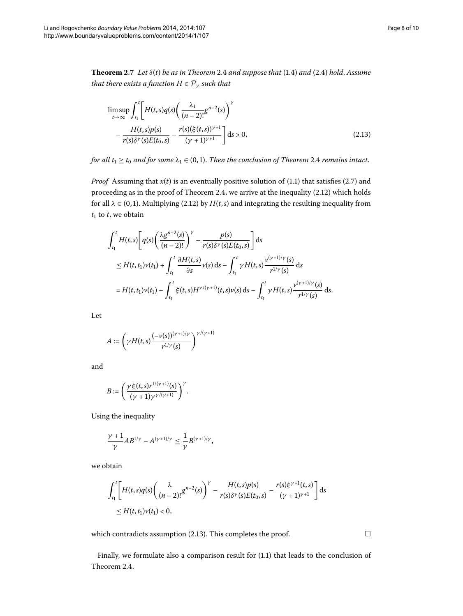<span id="page-7-1"></span>**Theorem .** *Let δ*(*t*) *be as in Theorem* [.](#page-3-2) *and suppose that* ([.](#page-1-2)) *and* ([.\)](#page-3-1) *hold*. *Assume that there exists a function*  $H \in \mathcal{P}_{\gamma}$  *such that* 

<span id="page-7-0"></span>
$$
\limsup_{t \to \infty} \int_{t_1}^{t} \left[ H(t, s)q(s) \left( \frac{\lambda_1}{(n-2)!} g^{n-2}(s) \right)^{\gamma} - \frac{H(t, s)p(s)}{r(s)\delta^{\gamma}(s)E(t_0, s)} - \frac{r(s)(\xi(t, s))^{\gamma+1}}{(\gamma+1)^{\gamma+1}} \right] ds > 0,
$$
\n(2.13)

*for all*  $t_1 \ge t_0$  *and for some*  $\lambda_1 \in (0,1)$ *[.](#page-3-2) Then the conclusion of Theorem* 2.4 *remains intact.* 

*Proof* Assuming that  $x(t)$  is an eventually positive solution of (1.1) that satisfies (2.7) and proceeding as in the proof of Theorem 2[.](#page-3-2)4, we arrive at the inequality  $(2.12)$  which holds for all  $\lambda \in (0, 1)$ . Multiplying (2.12) by  $H(t, s)$  and integrating the resulting inequality from  $t_1$  to  $t$ , we obtain

$$
\int_{t_1}^{t} H(t,s) \left[ q(s) \left( \frac{\lambda g^{n-2}(s)}{(n-2)!} \right)^{\gamma} - \frac{p(s)}{r(s)\delta^{\gamma}(s)E(t_0,s)} \right] ds
$$
\n
$$
\leq H(t,t_1)\nu(t_1) + \int_{t_1}^{t} \frac{\partial H(t,s)}{\partial s} \nu(s) ds - \int_{t_1}^{t} \gamma H(t,s) \frac{\nu^{(\gamma+1)/\gamma}(s)}{r^{1/\gamma}(s)} ds
$$
\n
$$
= H(t,t_1)\nu(t_1) - \int_{t_1}^{t} \xi(t,s)H^{\gamma/(\gamma+1)}(t,s)\nu(s) ds - \int_{t_1}^{t} \gamma H(t,s) \frac{\nu^{(\gamma+1)/\gamma}(s)}{r^{1/\gamma}(s)} ds.
$$

Let

$$
A:=\left(\gamma H(t,s)\frac{(-\nu(s))^{(\gamma+1)/\gamma}}{r^{1/\gamma}(s)}\right)^{\gamma/(\gamma+1)}
$$

and

$$
B:=\left(\frac{\gamma\xi(t,s)r^{1/(\gamma+1)}(s)}{(\gamma+1)\gamma^{\gamma/(\gamma+1)}}\right)^{\gamma}.
$$

Using the inequality

$$
\frac{\gamma+1}{\gamma}AB^{1/\gamma}-A^{(\gamma+1)/\gamma}\leq \frac{1}{\gamma}B^{(\gamma+1)/\gamma},
$$

we obtain

$$
\int_{t_1}^{t} \left[ H(t,s)q(s) \left( \frac{\lambda}{(n-2)!} g^{n-2}(s) \right)^{\gamma} - \frac{H(t,s)p(s)}{r(s)\delta^{\gamma}(s)E(t_0,s)} - \frac{r(s)\xi^{\gamma+1}(t,s)}{(\gamma+1)^{\gamma+1}} \right] ds
$$
  
\n
$$
\leq H(t,t_1)\nu(t_1) < 0,
$$

which contradicts assumption  $(2.13)$ . This completes the proof.

 $\Box$ 

Finally, we formulate also a comparison result for  $(1.1)$  $(1.1)$  $(1.1)$  that leads to the conclusion of Theorem 2[.](#page-3-2)4.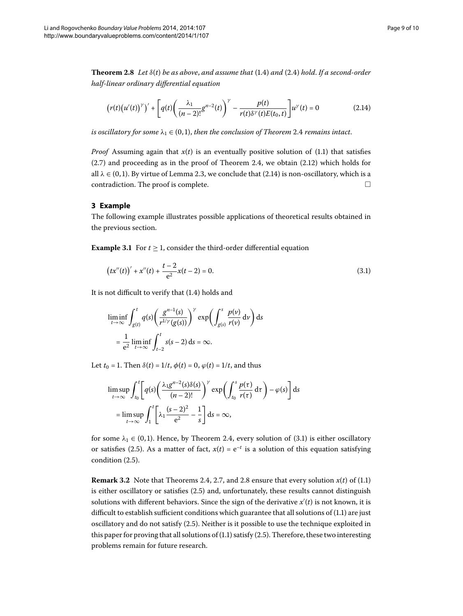<span id="page-8-2"></span>**Theorem 2[.](#page-3-1)8** Let  $\delta(t)$  be as above, and assume that (1.4) and (2.4) hold. If a second-order *half-linear ordinary differential equation*

<span id="page-8-0"></span>
$$
(r(t)(u'(t))^\gamma)' + \left[q(t)\left(\frac{\lambda_1}{(n-2)!}g^{n-2}(t)\right)^\gamma - \frac{p(t)}{r(t)\delta^\gamma(t)E(t_0,t)}\right]u^\gamma(t) = 0
$$
\n(2.14)

*is oscillatory for some*  $\lambda_1 \in (0,1)$ , *then the conclusion of Theorem* 2[.](#page-3-2)4 *remains intact.* 

*Proof* Assuming again that  $x(t)$  is an eventually positive solution of (1[.](#page-0-1)1) that satisfies  $(2.7)$  and proceeding as in the proof of Theorem 2.4, we obtain  $(2.12)$  which holds for all  $\lambda \in (0, 1)$ . By virtue of Lemma 2.3, we conclude that (2.14) is non-oscillatory, which is a  $\Box$  contradiction. The proof is complete.  $\Box$ 

### **3 Example**

The following example illustrates possible applications of theoretical results obtained in the previous section.

**Example 3.1** For  $t \ge 1$ , consider the third-order differential equation

<span id="page-8-1"></span>
$$
(tx''(t))' + x''(t) + \frac{t-2}{e^2}x(t-2) = 0.
$$
\n(3.1)

It is not difficult to verify that  $(1.4)$  $(1.4)$  $(1.4)$  holds and

$$
\liminf_{t \to \infty} \int_{g(t)}^{t} q(s) \left( \frac{g^{n-1}(s)}{r^{1/\gamma}(g(s))} \right)^{\gamma} \exp \left( \int_{g(s)}^{s} \frac{p(\nu)}{r(\nu)} d\nu \right) ds
$$

$$
= \frac{1}{e^2} \liminf_{t \to \infty} \int_{t-2}^{t} s(s-2) ds = \infty.
$$

Let  $t_0 = 1$ . Then  $\delta(t) = 1/t$ ,  $\phi(t) = 0$ ,  $\phi(t) = 1/t$ , and thus

$$
\limsup_{t \to \infty} \int_{t_0}^t \left[ q(s) \left( \frac{\lambda_1 g^{n-2}(s) \delta(s)}{(n-2)!} \right)^{\gamma} \exp \left( \int_{t_0}^s \frac{p(\tau)}{r(\tau)} d\tau \right) - \varphi(s) \right] ds
$$
  
= 
$$
\limsup_{t \to \infty} \int_1^t \left[ \lambda_1 \frac{(s-2)^2}{e^2} - \frac{1}{s} \right] ds = \infty,
$$

for some  $\lambda_1 \in (0,1)$ [.](#page-8-1) Hence, by Theorem 2.4, every solution of (3.1) is either oscillatory or satisfies (2[.](#page-4-4)5). As a matter of fact,  $x(t) = e^{-t}$  is a solution of this equation satisfying condition  $(2.5)$ .

**Remark 3[.](#page-0-1)2** Note that Theorems 2.4, 2.7, and 2.8 ensure that every solution  $x(t)$  of (1.1) is either oscillatory or satisfies (2.5) and, unfortunately, these results cannot distinguish solutions with different behaviors. Since the sign of the derivative  $x'(t)$  is not known, it is difficult to establish sufficient conditions which guarantee that all solutions of  $(1.1)$  are just oscillatory and do not satisfy (2.5). Neither is it possible to use the technique exploited in this paper for proving that all solutions of  $(1.1)$  satisfy  $(2.5)$ . Therefore, these two interesting problems remain for future research.